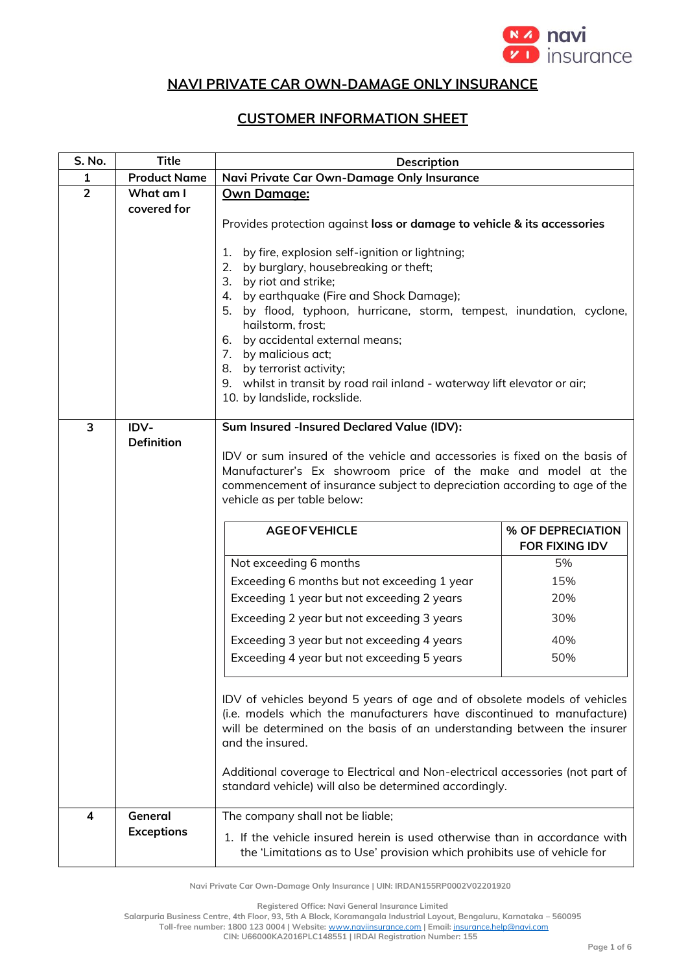

## **NAVI PRIVATE CAR OWN-DAMAGE ONLY INSURANCE**

## **CUSTOMER INFORMATION SHEET**

| S. No.         | <b>Title</b>             | <b>Description</b>                                                                                                                                                                                                                                                                                                                 |                                            |
|----------------|--------------------------|------------------------------------------------------------------------------------------------------------------------------------------------------------------------------------------------------------------------------------------------------------------------------------------------------------------------------------|--------------------------------------------|
| 1              | <b>Product Name</b>      | Navi Private Car Own-Damage Only Insurance                                                                                                                                                                                                                                                                                         |                                            |
| $\overline{2}$ | What am I<br>covered for | Own Damage:                                                                                                                                                                                                                                                                                                                        |                                            |
|                |                          | Provides protection against loss or damage to vehicle & its accessories                                                                                                                                                                                                                                                            |                                            |
|                |                          | by fire, explosion self-ignition or lightning;<br>1.<br>by burglary, housebreaking or theft;<br>2.<br>3. by riot and strike;<br>4. by earthquake (Fire and Shock Damage);<br>5. by flood, typhoon, hurricane, storm, tempest, inundation, cyclone,<br>hailstorm, frost;<br>6. by accidental external means;                        |                                            |
|                |                          | 7. by malicious act;                                                                                                                                                                                                                                                                                                               |                                            |
|                |                          | 8. by terrorist activity;<br>9. whilst in transit by road rail inland - waterway lift elevator or air;<br>10. by landslide, rockslide.                                                                                                                                                                                             |                                            |
| 3              | IDV-                     | Sum Insured -Insured Declared Value (IDV):                                                                                                                                                                                                                                                                                         |                                            |
|                | <b>Definition</b>        | IDV or sum insured of the vehicle and accessories is fixed on the basis of<br>Manufacturer's Ex showroom price of the make and model at the<br>commencement of insurance subject to depreciation according to age of the<br>vehicle as per table below:                                                                            |                                            |
|                |                          | <b>AGE OF VEHICLE</b>                                                                                                                                                                                                                                                                                                              | % OF DEPRECIATION<br><b>FOR FIXING IDV</b> |
|                |                          | Not exceeding 6 months                                                                                                                                                                                                                                                                                                             | 5%                                         |
|                |                          | Exceeding 6 months but not exceeding 1 year                                                                                                                                                                                                                                                                                        | 15%                                        |
|                |                          | Exceeding 1 year but not exceeding 2 years                                                                                                                                                                                                                                                                                         | 20%                                        |
|                |                          | Exceeding 2 year but not exceeding 3 years                                                                                                                                                                                                                                                                                         | 30%                                        |
|                |                          | Exceeding 3 year but not exceeding 4 years                                                                                                                                                                                                                                                                                         | 40%                                        |
|                |                          | Exceeding 4 year but not exceeding 5 years                                                                                                                                                                                                                                                                                         | 50%                                        |
|                |                          | IDV of vehicles beyond 5 years of age and of obsolete models of vehicles<br>(i.e. models which the manufacturers have discontinued to manufacture)<br>will be determined on the basis of an understanding between the insurer<br>and the insured.<br>Additional coverage to Electrical and Non-electrical accessories (not part of |                                            |
|                |                          | standard vehicle) will also be determined accordingly.                                                                                                                                                                                                                                                                             |                                            |
| 4              | General                  | The company shall not be liable;                                                                                                                                                                                                                                                                                                   |                                            |
|                | <b>Exceptions</b>        | 1. If the vehicle insured herein is used otherwise than in accordance with<br>the 'Limitations as to Use' provision which prohibits use of vehicle for                                                                                                                                                                             |                                            |

**Navi Private Car Own-Damage Only Insurance | UIN: IRDAN155RP0002V02201920**

**Registered Office: Navi General Insurance Limited**

**Salarpuria Business Centre, 4th Floor, 93, 5th A Block, Koramangala Industrial Layout, Bengaluru, Karnataka – 560095**

**Toll-free number: 1800 123 0004 | Website:** [www.naviinsurance.com](http://www.naviinsurance.com/) **| Email:** [insurance.help@navi.com](mailto:insurance.help@navi.com)

**CIN: U66000KA2016PLC148551 | IRDAI Registration Number: 155**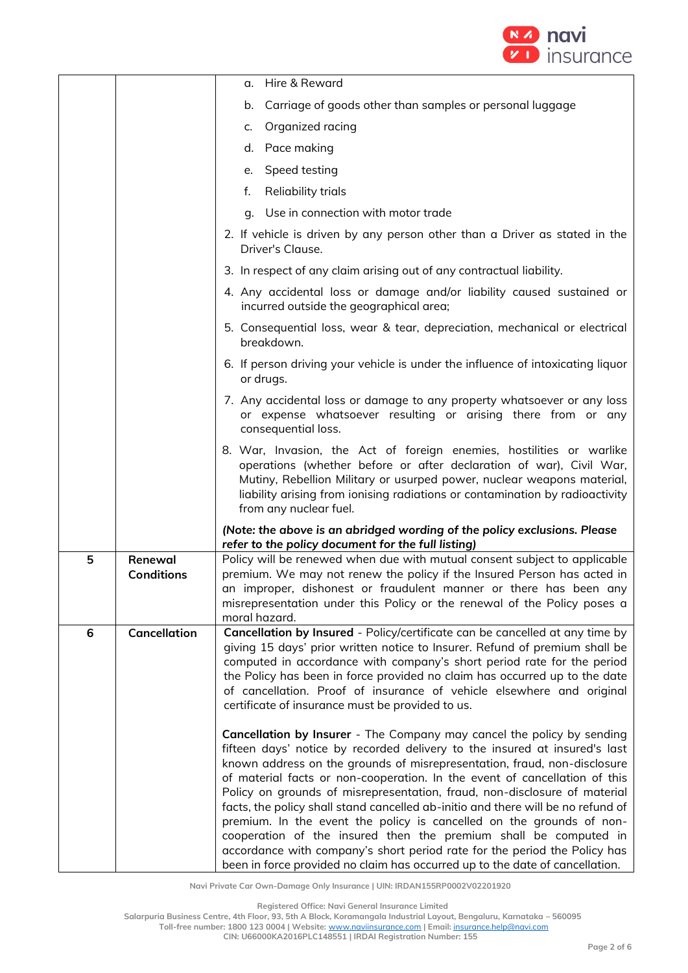

|   |                              | Hire & Reward<br>α.                                                                                                                                                                                                                                                                                                                                                                                                                                                                                                                                                                                                                                                                                                                                                                      |  |
|---|------------------------------|------------------------------------------------------------------------------------------------------------------------------------------------------------------------------------------------------------------------------------------------------------------------------------------------------------------------------------------------------------------------------------------------------------------------------------------------------------------------------------------------------------------------------------------------------------------------------------------------------------------------------------------------------------------------------------------------------------------------------------------------------------------------------------------|--|
|   |                              | Carriage of goods other than samples or personal luggage<br>b.                                                                                                                                                                                                                                                                                                                                                                                                                                                                                                                                                                                                                                                                                                                           |  |
|   |                              | Organized racing<br>c.                                                                                                                                                                                                                                                                                                                                                                                                                                                                                                                                                                                                                                                                                                                                                                   |  |
|   |                              | Pace making<br>d.                                                                                                                                                                                                                                                                                                                                                                                                                                                                                                                                                                                                                                                                                                                                                                        |  |
|   |                              | Speed testing<br>е.                                                                                                                                                                                                                                                                                                                                                                                                                                                                                                                                                                                                                                                                                                                                                                      |  |
|   |                              | Reliability trials<br>f.                                                                                                                                                                                                                                                                                                                                                                                                                                                                                                                                                                                                                                                                                                                                                                 |  |
|   |                              | Use in connection with motor trade<br>q.                                                                                                                                                                                                                                                                                                                                                                                                                                                                                                                                                                                                                                                                                                                                                 |  |
|   |                              | 2. If vehicle is driven by any person other than a Driver as stated in the<br>Driver's Clause.                                                                                                                                                                                                                                                                                                                                                                                                                                                                                                                                                                                                                                                                                           |  |
|   |                              | 3. In respect of any claim arising out of any contractual liability.                                                                                                                                                                                                                                                                                                                                                                                                                                                                                                                                                                                                                                                                                                                     |  |
|   |                              | 4. Any accidental loss or damage and/or liability caused sustained or<br>incurred outside the geographical area;                                                                                                                                                                                                                                                                                                                                                                                                                                                                                                                                                                                                                                                                         |  |
|   |                              | 5. Consequential loss, wear & tear, depreciation, mechanical or electrical<br>breakdown.                                                                                                                                                                                                                                                                                                                                                                                                                                                                                                                                                                                                                                                                                                 |  |
|   |                              | 6. If person driving your vehicle is under the influence of intoxicating liquor<br>or drugs.                                                                                                                                                                                                                                                                                                                                                                                                                                                                                                                                                                                                                                                                                             |  |
|   |                              | 7. Any accidental loss or damage to any property whatsoever or any loss<br>or expense whatsoever resulting or arising there from or any<br>consequential loss.                                                                                                                                                                                                                                                                                                                                                                                                                                                                                                                                                                                                                           |  |
|   |                              | 8. War, Invasion, the Act of foreign enemies, hostilities or warlike<br>operations (whether before or after declaration of war), Civil War,<br>Mutiny, Rebellion Military or usurped power, nuclear weapons material,<br>liability arising from ionising radiations or contamination by radioactivity<br>from any nuclear fuel.                                                                                                                                                                                                                                                                                                                                                                                                                                                          |  |
|   |                              | (Note: the above is an abridged wording of the policy exclusions. Please<br>refer to the policy document for the full listing)                                                                                                                                                                                                                                                                                                                                                                                                                                                                                                                                                                                                                                                           |  |
| 5 | Renewal<br><b>Conditions</b> | Policy will be renewed when due with mutual consent subject to applicable<br>premium. We may not renew the policy if the Insured Person has acted in<br>an improper, dishonest or fraudulent manner or there has been any<br>misrepresentation under this Policy or the renewal of the Policy poses a<br>moral hazard.                                                                                                                                                                                                                                                                                                                                                                                                                                                                   |  |
| 6 | Cancellation                 | Cancellation by Insured - Policy/certificate can be cancelled at any time by<br>giving 15 days' prior written notice to Insurer. Refund of premium shall be<br>computed in accordance with company's short period rate for the period<br>the Policy has been in force provided no claim has occurred up to the date<br>of cancellation. Proof of insurance of vehicle elsewhere and original<br>certificate of insurance must be provided to us.                                                                                                                                                                                                                                                                                                                                         |  |
|   |                              | Cancellation by Insurer - The Company may cancel the policy by sending<br>fifteen days' notice by recorded delivery to the insured at insured's last<br>known address on the grounds of misrepresentation, fraud, non-disclosure<br>of material facts or non-cooperation. In the event of cancellation of this<br>Policy on grounds of misrepresentation, fraud, non-disclosure of material<br>facts, the policy shall stand cancelled ab-initio and there will be no refund of<br>premium. In the event the policy is cancelled on the grounds of non-<br>cooperation of the insured then the premium shall be computed in<br>accordance with company's short period rate for the period the Policy has<br>been in force provided no claim has occurred up to the date of cancellation. |  |

**Registered Office: Navi General Insurance Limited**

**Salarpuria Business Centre, 4th Floor, 93, 5th A Block, Koramangala Industrial Layout, Bengaluru, Karnataka – 560095**

**Toll-free number: 1800 123 0004 | Website:** [www.naviinsurance.com](http://www.naviinsurance.com/) **| Email:** [insurance.help@navi.com](mailto:insurance.help@navi.com)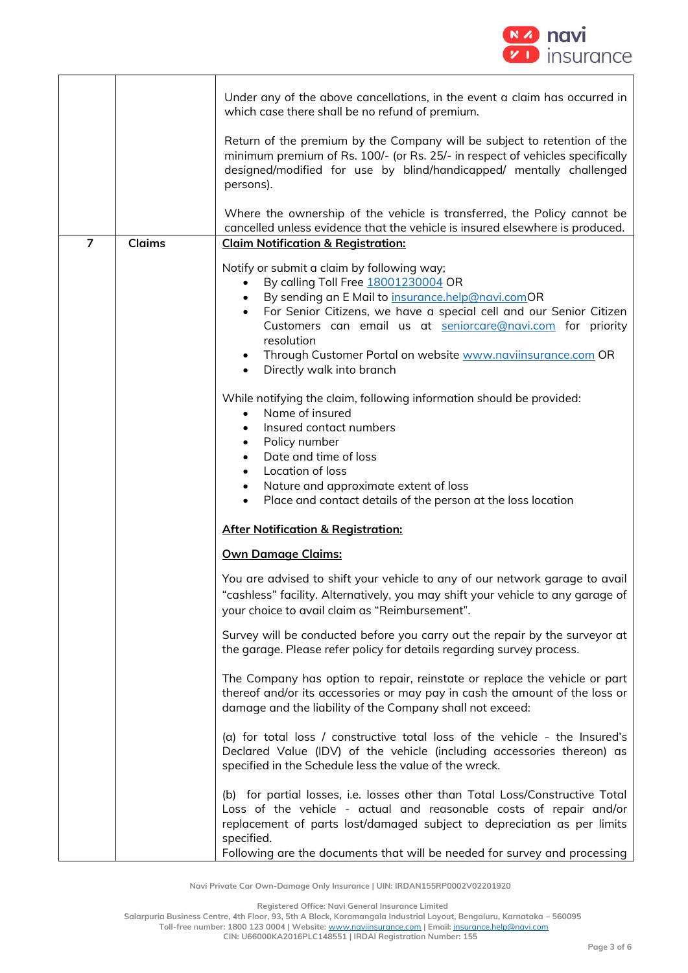

|                |               | Under any of the above cancellations, in the event a claim has occurred in<br>which case there shall be no refund of premium.                                                                                                                                                                                                                                                                                                            |
|----------------|---------------|------------------------------------------------------------------------------------------------------------------------------------------------------------------------------------------------------------------------------------------------------------------------------------------------------------------------------------------------------------------------------------------------------------------------------------------|
|                |               | Return of the premium by the Company will be subject to retention of the<br>minimum premium of Rs. 100/- (or Rs. 25/- in respect of vehicles specifically<br>designed/modified for use by blind/handicapped/ mentally challenged<br>persons).                                                                                                                                                                                            |
|                |               | Where the ownership of the vehicle is transferred, the Policy cannot be                                                                                                                                                                                                                                                                                                                                                                  |
|                |               | cancelled unless evidence that the vehicle is insured elsewhere is produced.                                                                                                                                                                                                                                                                                                                                                             |
| $\overline{7}$ | <b>Claims</b> | <b>Claim Notification &amp; Registration:</b>                                                                                                                                                                                                                                                                                                                                                                                            |
|                |               | Notify or submit a claim by following way;<br>By calling Toll Free 18001230004 OR<br>$\bullet$<br>By sending an E Mail to insurance.help@navi.comOR<br>$\bullet$<br>For Senior Citizens, we have a special cell and our Senior Citizen<br>$\bullet$<br>Customers can email us at seniorcare@navi.com for priority<br>resolution<br>Through Customer Portal on website www.naviinsurance.com OR<br>Directly walk into branch<br>$\bullet$ |
|                |               | While notifying the claim, following information should be provided:<br>Name of insured<br>$\bullet$<br>Insured contact numbers<br>$\bullet$<br>Policy number<br>$\bullet$<br>Date and time of loss<br>Location of loss<br>$\bullet$<br>Nature and approximate extent of loss<br>$\bullet$<br>Place and contact details of the person at the loss location<br>$\bullet$                                                                  |
|                |               | <b>After Notification &amp; Registration:</b>                                                                                                                                                                                                                                                                                                                                                                                            |
|                |               | <b>Own Damage Claims:</b>                                                                                                                                                                                                                                                                                                                                                                                                                |
|                |               | You are advised to shift your vehicle to any of our network garage to avail<br>"cashless" facility. Alternatively, you may shift your vehicle to any garage of<br>your choice to avail claim as "Reimbursement".                                                                                                                                                                                                                         |
|                |               | Survey will be conducted before you carry out the repair by the surveyor at<br>the garage. Please refer policy for details regarding survey process.                                                                                                                                                                                                                                                                                     |
|                |               | The Company has option to repair, reinstate or replace the vehicle or part<br>thereof and/or its accessories or may pay in cash the amount of the loss or<br>damage and the liability of the Company shall not exceed:                                                                                                                                                                                                                   |
|                |               | (a) for total loss / constructive total loss of the vehicle - the Insured's<br>Declared Value (IDV) of the vehicle (including accessories thereon) as<br>specified in the Schedule less the value of the wreck.                                                                                                                                                                                                                          |
|                |               | (b) for partial losses, i.e. losses other than Total Loss/Constructive Total<br>Loss of the vehicle - actual and reasonable costs of repair and/or<br>replacement of parts lost/damaged subject to depreciation as per limits<br>specified.<br>Following are the documents that will be needed for survey and processing                                                                                                                 |

**Registered Office: Navi General Insurance Limited**

**Salarpuria Business Centre, 4th Floor, 93, 5th A Block, Koramangala Industrial Layout, Bengaluru, Karnataka – 560095**

**Toll-free number: 1800 123 0004 | Website:** [www.naviinsurance.com](http://www.naviinsurance.com/) **| Email:** [insurance.help@navi.com](mailto:insurance.help@navi.com)

**CIN: U66000KA2016PLC148551 | IRDAI Registration Number: 155**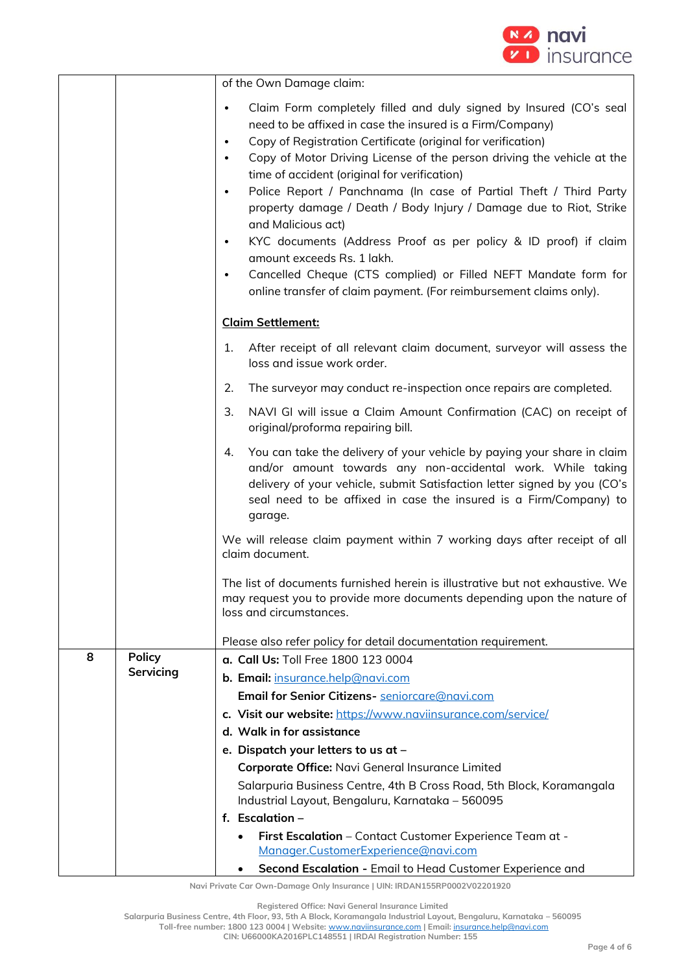

|   |               | of the Own Damage claim:                                                                                                                                                                                                                                                                                                                                                                                                                                                                                                                                                                                                                                                                                                                                                                                           |
|---|---------------|--------------------------------------------------------------------------------------------------------------------------------------------------------------------------------------------------------------------------------------------------------------------------------------------------------------------------------------------------------------------------------------------------------------------------------------------------------------------------------------------------------------------------------------------------------------------------------------------------------------------------------------------------------------------------------------------------------------------------------------------------------------------------------------------------------------------|
|   |               | Claim Form completely filled and duly signed by Insured (CO's seal<br>$\bullet$<br>need to be affixed in case the insured is a Firm/Company)<br>Copy of Registration Certificate (original for verification)<br>$\bullet$<br>Copy of Motor Driving License of the person driving the vehicle at the<br>$\bullet$<br>time of accident (original for verification)<br>Police Report / Panchnama (In case of Partial Theft / Third Party<br>$\bullet$<br>property damage / Death / Body Injury / Damage due to Riot, Strike<br>and Malicious act)<br>KYC documents (Address Proof as per policy & ID proof) if claim<br>$\bullet$<br>amount exceeds Rs. 1 lakh.<br>Cancelled Cheque (CTS complied) or Filled NEFT Mandate form for<br>$\bullet$<br>online transfer of claim payment. (For reimbursement claims only). |
|   |               | <b>Claim Settlement:</b>                                                                                                                                                                                                                                                                                                                                                                                                                                                                                                                                                                                                                                                                                                                                                                                           |
|   |               | After receipt of all relevant claim document, surveyor will assess the<br>1.<br>loss and issue work order.                                                                                                                                                                                                                                                                                                                                                                                                                                                                                                                                                                                                                                                                                                         |
|   |               | The surveyor may conduct re-inspection once repairs are completed.<br>2.                                                                                                                                                                                                                                                                                                                                                                                                                                                                                                                                                                                                                                                                                                                                           |
|   |               | NAVI GI will issue a Claim Amount Confirmation (CAC) on receipt of<br>3.<br>original/proforma repairing bill.                                                                                                                                                                                                                                                                                                                                                                                                                                                                                                                                                                                                                                                                                                      |
|   |               | You can take the delivery of your vehicle by paying your share in claim<br>4.<br>and/or amount towards any non-accidental work. While taking<br>delivery of your vehicle, submit Satisfaction letter signed by you (CO's<br>seal need to be affixed in case the insured is a Firm/Company) to<br>garage.                                                                                                                                                                                                                                                                                                                                                                                                                                                                                                           |
|   |               | We will release claim payment within 7 working days after receipt of all<br>claim document.                                                                                                                                                                                                                                                                                                                                                                                                                                                                                                                                                                                                                                                                                                                        |
|   |               | The list of documents furnished herein is illustrative but not exhaustive. We<br>may request you to provide more documents depending upon the nature of<br>loss and circumstances.                                                                                                                                                                                                                                                                                                                                                                                                                                                                                                                                                                                                                                 |
|   |               | Please also refer policy for detail documentation requirement.                                                                                                                                                                                                                                                                                                                                                                                                                                                                                                                                                                                                                                                                                                                                                     |
| 8 | <b>Policy</b> | a. Call Us: Toll Free 1800 123 0004                                                                                                                                                                                                                                                                                                                                                                                                                                                                                                                                                                                                                                                                                                                                                                                |
|   | Servicing     | b. Email: insurance.help@navi.com                                                                                                                                                                                                                                                                                                                                                                                                                                                                                                                                                                                                                                                                                                                                                                                  |
|   |               | Email for Senior Citizens- seniorcare@navi.com                                                                                                                                                                                                                                                                                                                                                                                                                                                                                                                                                                                                                                                                                                                                                                     |
|   |               | c. Visit our website: https://www.naviinsurance.com/service/                                                                                                                                                                                                                                                                                                                                                                                                                                                                                                                                                                                                                                                                                                                                                       |
|   |               | d. Walk in for assistance                                                                                                                                                                                                                                                                                                                                                                                                                                                                                                                                                                                                                                                                                                                                                                                          |
|   |               | e. Dispatch your letters to us at -                                                                                                                                                                                                                                                                                                                                                                                                                                                                                                                                                                                                                                                                                                                                                                                |
|   |               | Corporate Office: Navi General Insurance Limited                                                                                                                                                                                                                                                                                                                                                                                                                                                                                                                                                                                                                                                                                                                                                                   |
|   |               | Salarpuria Business Centre, 4th B Cross Road, 5th Block, Koramangala<br>Industrial Layout, Bengaluru, Karnataka - 560095                                                                                                                                                                                                                                                                                                                                                                                                                                                                                                                                                                                                                                                                                           |
|   |               | f. Escalation $-$                                                                                                                                                                                                                                                                                                                                                                                                                                                                                                                                                                                                                                                                                                                                                                                                  |
|   |               | First Escalation - Contact Customer Experience Team at -<br>$\bullet$<br>Manager.CustomerExperience@navi.com                                                                                                                                                                                                                                                                                                                                                                                                                                                                                                                                                                                                                                                                                                       |
|   |               | Second Escalation - Email to Head Customer Experience and                                                                                                                                                                                                                                                                                                                                                                                                                                                                                                                                                                                                                                                                                                                                                          |

**Registered Office: Navi General Insurance Limited**

**Salarpuria Business Centre, 4th Floor, 93, 5th A Block, Koramangala Industrial Layout, Bengaluru, Karnataka – 560095 Toll-free number: 1800 123 0004 | Website:** [www.naviinsurance.com](http://www.naviinsurance.com/) **| Email:** [insurance.help@navi.com](mailto:insurance.help@navi.com)

**CIN: U66000KA2016PLC148551 | IRDAI Registration Number: 155**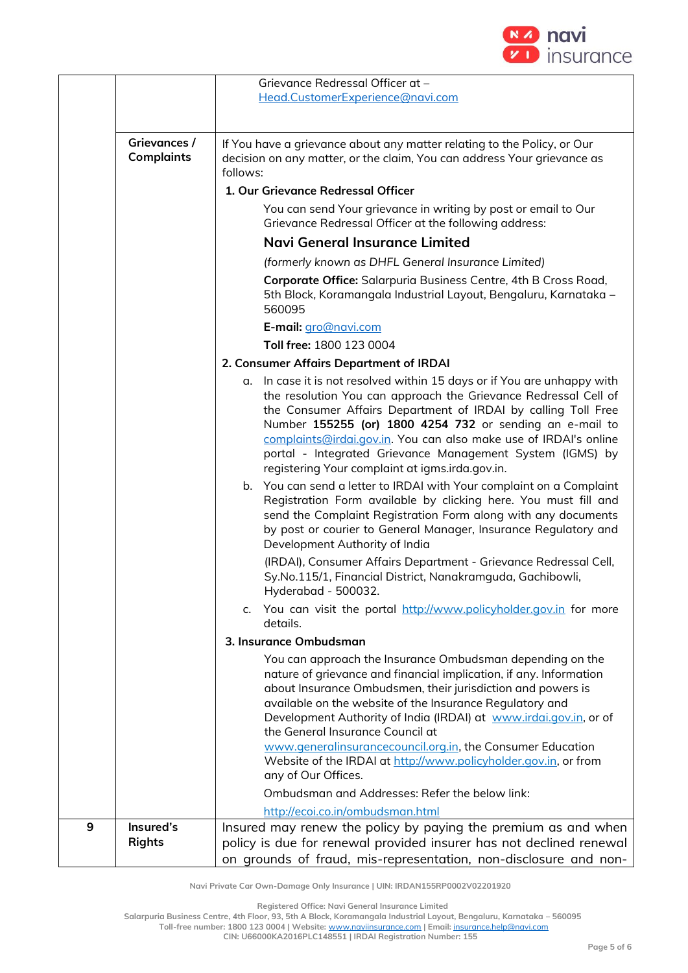

|   |                                   | Grievance Redressal Officer at -                                                                                                                                                                                                                                                                                                                                                                                                                            |
|---|-----------------------------------|-------------------------------------------------------------------------------------------------------------------------------------------------------------------------------------------------------------------------------------------------------------------------------------------------------------------------------------------------------------------------------------------------------------------------------------------------------------|
|   |                                   | Head.CustomerExperience@navi.com                                                                                                                                                                                                                                                                                                                                                                                                                            |
|   |                                   |                                                                                                                                                                                                                                                                                                                                                                                                                                                             |
|   | Grievances /<br><b>Complaints</b> | If You have a grievance about any matter relating to the Policy, or Our<br>decision on any matter, or the claim, You can address Your grievance as<br>follows:                                                                                                                                                                                                                                                                                              |
|   |                                   | 1. Our Grievance Redressal Officer                                                                                                                                                                                                                                                                                                                                                                                                                          |
|   |                                   | You can send Your grievance in writing by post or email to Our<br>Grievance Redressal Officer at the following address:                                                                                                                                                                                                                                                                                                                                     |
|   |                                   | Navi General Insurance Limited                                                                                                                                                                                                                                                                                                                                                                                                                              |
|   |                                   | (formerly known as DHFL General Insurance Limited)                                                                                                                                                                                                                                                                                                                                                                                                          |
|   |                                   | Corporate Office: Salarpuria Business Centre, 4th B Cross Road,<br>5th Block, Koramangala Industrial Layout, Bengaluru, Karnataka -<br>560095                                                                                                                                                                                                                                                                                                               |
|   |                                   | E-mail: gro@navi.com                                                                                                                                                                                                                                                                                                                                                                                                                                        |
|   |                                   | Toll free: 1800 123 0004                                                                                                                                                                                                                                                                                                                                                                                                                                    |
|   |                                   | 2. Consumer Affairs Department of IRDAI                                                                                                                                                                                                                                                                                                                                                                                                                     |
|   |                                   | a. In case it is not resolved within 15 days or if You are unhappy with<br>the resolution You can approach the Grievance Redressal Cell of<br>the Consumer Affairs Department of IRDAI by calling Toll Free<br>Number 155255 (or) 1800 4254 732 or sending an e-mail to<br>complaints@irdai.gov.in. You can also make use of IRDAI's online<br>portal - Integrated Grievance Management System (IGMS) by<br>registering Your complaint at igms.irda.gov.in. |
|   |                                   | b. You can send a letter to IRDAI with Your complaint on a Complaint<br>Registration Form available by clicking here. You must fill and<br>send the Complaint Registration Form along with any documents<br>by post or courier to General Manager, Insurance Regulatory and<br>Development Authority of India                                                                                                                                               |
|   |                                   | (IRDAI), Consumer Affairs Department - Grievance Redressal Cell,<br>Sy.No.115/1, Financial District, Nanakramguda, Gachibowli,<br>Hyderabad - 500032                                                                                                                                                                                                                                                                                                        |
|   |                                   | You can visit the portal http://www.policyholder.gov.in for more<br>c.<br>details.                                                                                                                                                                                                                                                                                                                                                                          |
|   |                                   | 3. Insurance Ombudsman                                                                                                                                                                                                                                                                                                                                                                                                                                      |
|   |                                   | You can approach the Insurance Ombudsman depending on the<br>nature of grievance and financial implication, if any. Information<br>about Insurance Ombudsmen, their jurisdiction and powers is<br>available on the website of the Insurance Regulatory and<br>Development Authority of India (IRDAI) at www.irdai.gov.in, or of<br>the General Insurance Council at                                                                                         |
|   |                                   | www.generalinsurancecouncil.org.in, the Consumer Education<br>Website of the IRDAI at http://www.policyholder.gov.in, or from<br>any of Our Offices.                                                                                                                                                                                                                                                                                                        |
|   |                                   | Ombudsman and Addresses: Refer the below link:                                                                                                                                                                                                                                                                                                                                                                                                              |
|   |                                   | http://ecoi.co.in/ombudsman.html                                                                                                                                                                                                                                                                                                                                                                                                                            |
| 9 | Insured's<br><b>Rights</b>        | Insured may renew the policy by paying the premium as and when<br>policy is due for renewal provided insurer has not declined renewal                                                                                                                                                                                                                                                                                                                       |
|   |                                   | on grounds of fraud, mis-representation, non-disclosure and non-                                                                                                                                                                                                                                                                                                                                                                                            |

**Registered Office: Navi General Insurance Limited**

**Salarpuria Business Centre, 4th Floor, 93, 5th A Block, Koramangala Industrial Layout, Bengaluru, Karnataka – 560095**

**Toll-free number: 1800 123 0004 | Website:** [www.naviinsurance.com](http://www.naviinsurance.com/) **| Email:** [insurance.help@navi.com](mailto:insurance.help@navi.com) **CIN: U66000KA2016PLC148551 | IRDAI Registration Number: 155**